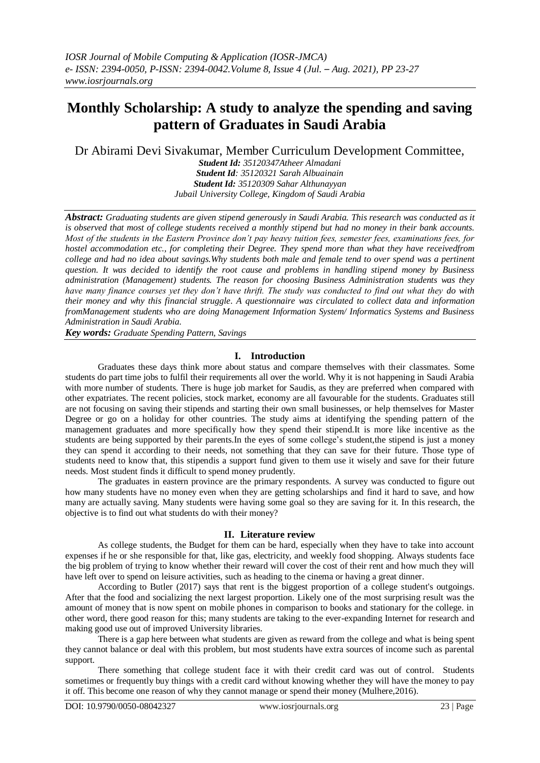# **Monthly Scholarship: A study to analyze the spending and saving pattern of Graduates in Saudi Arabia**

Dr Abirami Devi Sivakumar, Member Curriculum Development Committee,

*Student Id: 35120347Atheer Almadani Student Id: 35120321 Sarah Albuainain Student Id: 35120309 Sahar Althunayyan Jubail University College, Kingdom of Saudi Arabia*

*Abstract: Graduating students are given stipend generously in Saudi Arabia. This research was conducted as it is observed that most of college students received a monthly stipend but had no money in their bank accounts. Most of the students in the Eastern Province don't pay heavy tuition fees, semester fees, examinations fees, for hostel accommodation etc., for completing their Degree. They spend more than what they have receivedfrom college and had no idea about savings.Why students both male and female tend to over spend was a pertinent question. It was decided to identify the root cause and problems in handling stipend money by Business administration (Management) students. The reason for choosing Business Administration students was they have many finance courses yet they don't have thrift. The study was conducted to find out what they do with their money and why this financial struggle. A questionnaire was circulated to collect data and information fromManagement students who are doing Management Information System/ Informatics Systems and Business Administration in Saudi Arabia.*

*Key words: Graduate Spending Pattern, Savings* 

## **I. Introduction**

Graduates these days think more about status and compare themselves with their classmates. Some students do part time jobs to fulfil their requirements all over the world. Why it is not happening in Saudi Arabia with more number of students. There is huge job market for Saudis, as they are preferred when compared with other expatriates. The recent policies, stock market, economy are all favourable for the students. Graduates still are not focusing on saving their stipends and starting their own small businesses, or help themselves for Master Degree or go on a holiday for other countries. The study aims at identifying the spending pattern of the management graduates and more specifically how they spend their stipend.It is more like incentive as the students are being supported by their parents.In the eyes of some college's student,the stipend is just a money they can spend it according to their needs, not something that they can save for their future. Those type of students need to know that, this stipendis a support fund given to them use it wisely and save for their future needs. Most student finds it difficult to spend money prudently.

The graduates in eastern province are the primary respondents. A survey was conducted to figure out how many students have no money even when they are getting scholarships and find it hard to save, and how many are actually saving. Many students were having some goal so they are saving for it. In this research, the objective is to find out what students do with their money?

#### **II. Literature review**

As college students, the Budget for them can be hard, especially when they have to take into account expenses if he or she responsible for that, like gas, electricity, and weekly food shopping. Always students face the big problem of trying to know whether their reward will cover the cost of their rent and how much they will have left over to spend on leisure activities, such as heading to the cinema or having a great dinner.

According to Butler (2017) says that rent is the biggest proportion of a college student's outgoings. After that the food and socializing the next largest proportion. Likely one of the most surprising result was the amount of money that is now spent on mobile phones in comparison to books and stationary for the college. in other word, there good reason for this; many students are taking to the ever-expanding Internet for research and making good use out of improved University libraries.

There is a gap here between what students are given as reward from the college and what is being spent they cannot balance or deal with this problem, but most students have extra sources of income such as parental support.

There something that college student face it with their credit card was out of control. Students sometimes or frequently buy things with a credit card without knowing whether they will have the money to pay it off. This become one reason of why they cannot manage or spend their money (Mulhere,2016).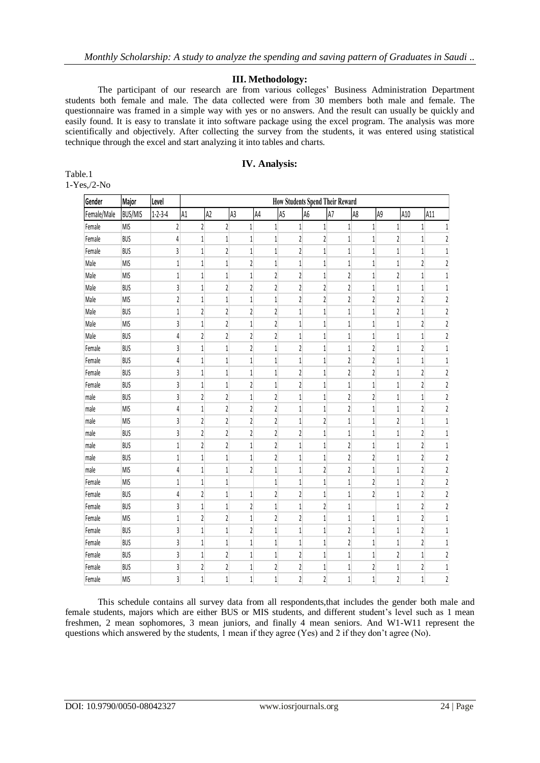#### **III. Methodology:**

The participant of our research are from various colleges' Business Administration Department students both female and male. The data collected were from 30 members both male and female. The questionnaire was framed in a simple way with yes or no answers. And the result can usually be quickly and easily found. It is easy to translate it into software package using the excel program. The analysis was more scientifically and objectively. After collecting the survey from the students, it was entered using statistical technique through the excel and start analyzing it into tables and charts.

### **IV. Analysis:**

| Table.1        |
|----------------|
| $1-Yes.}/2-No$ |

| Gender      | Major          | Level                   | <b>How Students Spend Their Reward</b> |                         |                         |                         |                         |                         |                         |                         |                         |                         |                         |
|-------------|----------------|-------------------------|----------------------------------------|-------------------------|-------------------------|-------------------------|-------------------------|-------------------------|-------------------------|-------------------------|-------------------------|-------------------------|-------------------------|
| Female/Male | <b>BUS/MIS</b> | $1 - 2 - 3 - 4$         | A1                                     | A2                      | A3                      | A4                      | A5                      | A6                      | A7                      | A8                      | A9                      | A10                     | A11                     |
| Female      | <b>MIS</b>     | $\overline{\mathbf{c}}$ | $\overline{2}$                         | $\overline{2}$          | $\mathbf{1}$            | $\mathbf{1}$            | $1\overline{ }$         | $1\,$                   | $\mathbf{1}$            | $1\,$                   | $\mathbf{1}$            | $\mathbf{1}$            | $\mathbf{1}$            |
| Female      | <b>BUS</b>     | 4                       | $\mathbf{1}$                           | $\mathbf{1}$            | 1                       | $\mathbf{1}$            | 2                       | $\overline{\mathbf{c}}$ | 1                       | $\mathbf{1}$            | 2                       | 1                       | 2                       |
| Female      | <b>BUS</b>     | 3                       | $\mathbf{1}$                           | $\overline{c}$          | $\mathbf{1}$            | $\overline{1}$          | $\overline{2}$          | 1                       | 1                       | 1                       | 1                       | 1                       | $\mathbf{1}$            |
| Male        | <b>MIS</b>     | $\mathbf{1}$            | $\mathbf{1}$                           | $\mathbf{1}$            | $\overline{\mathbf{c}}$ | $\,1\,$                 | $\mathbf{1}$            | $\mathbf{1}$            | $\mathbf{1}$            | $\mathbf{1}$            | 1                       | 2                       | $\sqrt{2}$              |
| Male        | <b>MIS</b>     | $\mathbf{1}$            | $\mathbf{1}$                           | $\,1\,$                 | $\mathbf{1}$            | $\overline{\mathbf{c}}$ | $\overline{\mathbf{c}}$ | $\mathbf{1}$            | $\overline{\mathbf{c}}$ | 1                       | $\overline{c}$          | $\mathbf{1}$            | $1\,$                   |
| Male        | <b>BUS</b>     | $\overline{3}$          | $\mathbf{1}$                           | $\overline{c}$          | $\overline{\mathbf{c}}$ | $\overline{\mathbf{c}}$ | $\overline{2}$          | $\overline{\mathbf{c}}$ | $\overline{\mathbf{c}}$ | $\mathbf{1}$            | 1                       | 1                       | $\mathbf{1}$            |
| Male        | <b>MIS</b>     | $\overline{2}$          | $\mathbf{1}$                           | $\mathbf{1}$            | $\mathbf{1}$            | $\mathbf{1}$            | $\overline{2}$          | $\overline{2}$          | $\overline{2}$          | 2                       | $\overline{\mathbf{c}}$ | $\overline{c}$          | $\overline{\mathbf{c}}$ |
| Male        | <b>BUS</b>     | $\mathbf{1}$            | $\overline{2}$                         | $\overline{c}$          | $\overline{\mathbf{c}}$ | $\overline{c}$          | $\mathbf{1}$            | $\,1$                   | $\mathbf{1}$            | 1                       | $\overline{\mathbf{c}}$ | 1                       | $\mathfrak z$           |
| Male        | <b>MIS</b>     | 3                       | $\mathbf{1}$                           | $\overline{2}$          | $\mathbf{1}$            | $\overline{\mathbf{c}}$ | $\mathbf{1}$            | $\mathbf{1}$            | $\mathbf{1}$            | $\mathbf{1}$            | 1                       | $\overline{\mathbf{c}}$ | $\sqrt{2}$              |
| Male        | <b>BUS</b>     | $\overline{4}$          | $\overline{\mathbf{c}}$                | $\overline{2}$          | $\overline{\mathbf{c}}$ | $\overline{\mathbf{c}}$ | $\mathbf{1}$            | $\mathbf{1}$            | $\mathbf{1}$            | $\mathbf{1}$            | 1                       | 1                       | $\mathfrak z$           |
| Female      | <b>BUS</b>     | $\overline{3}$          | $\mathbf{1}$                           | $\mathbf{1}$            | $\overline{\mathbf{c}}$ | $\mathbf{1}$            | $\overline{\mathbf{c}}$ | $\mathbf{1}$            | $\mathbf{1}$            | $\overline{\mathbf{c}}$ | $1\,$                   | $\sqrt{2}$              | $1\,$                   |
| Female      | <b>BUS</b>     | $\overline{4}$          | $\mathbf{1}$                           | $\mathbf{1}$            | 1                       | $\overline{1}$          | $\mathbf{1}$            | $\mathbf{1}$            | $\overline{c}$          | 2                       | 1                       | 1                       | $1\,$                   |
| Female      | <b>BUS</b>     | $\overline{3}$          | $\mathbf{1}$                           | $\mathbf{1}$            | 1                       | $\,1$                   | $\overline{\mathbf{c}}$ | $\,1$                   | $\overline{\mathbf{c}}$ | 2                       | 1                       | 2                       | $\overline{\mathbf{c}}$ |
| Female      | <b>BUS</b>     | $\overline{3}$          | $\mathbf{1}$                           | $\mathbf{1}$            | $\overline{2}$          | $\overline{1}$          | $\overline{2}$          | $\mathbf{1}$            | $\mathbf{1}$            | $\mathbf{1}$            | $\mathbf{1}$            | $\overline{c}$          | $\sqrt{2}$              |
| male        | <b>BUS</b>     | 3                       | $\overline{2}$                         | $\overline{2}$          | $\mathbf{1}$            | $\overline{c}$          | $\mathbf{1}$            | $\mathbf{1}$            | $\overline{c}$          | 2                       | $\mathbf{1}$            | $\mathbf{1}$            | $\mathfrak z$           |
| male        | <b>MIS</b>     | $\overline{4}$          | $\mathbf{1}$                           | $\overline{2}$          | $\overline{c}$          | $\overline{2}$          | $\mathbf{1}$            | $\mathbf{1}$            | $\overline{2}$          | $\mathbf{1}$            | 1                       | $\overline{c}$          | $\overline{c}$          |
| male        | <b>MIS</b>     | 3                       | $\overline{2}$                         | $\overline{2}$          | $\overline{c}$          | $\overline{\mathbf{c}}$ | $\mathbf{1}$            | $\overline{c}$          | $\mathbf{1}$            | $\mathbf{1}$            | $\overline{\mathbf{c}}$ | 1                       | $\,1\,$                 |
| male        | <b>BUS</b>     | 3                       | $\overline{2}$                         | $\overline{c}$          | $\overline{2}$          | $\overline{c}$          | $\overline{\mathbf{c}}$ | 1                       | $\mathbf{1}$            | 1                       | 1                       | $\overline{\mathbf{c}}$ | 1                       |
| male        | <b>BUS</b>     | $\mathbf{1}$            | $\overline{2}$                         | $\overline{2}$          | 1                       | $\overline{\mathbf{c}}$ | 1                       | $\mathbf{1}$            | $\overline{2}$          | $\mathbf{1}$            | 1                       | $\overline{c}$          | 1                       |
| male        | <b>BUS</b>     | $\mathbf{1}$            | $\mathbf{1}$                           | $\mathbf{1}$            | 1                       | $\overline{\mathbf{c}}$ | $\mathbf{1}$            | $\mathbf{1}$            | 2                       | 2                       | $\mathbf{1}$            | $\overline{\mathbf{c}}$ | $\sqrt{2}$              |
| male        | <b>MIS</b>     | 4                       | $\mathbf{1}$                           | $\mathbf{1}$            | $\overline{\mathbf{c}}$ | $\mathbf{1}$            | $\overline{1}$          | $\overline{2}$          | $\overline{\mathbf{c}}$ | $\mathbf{1}$            | 1                       | $\overline{c}$          | $\mathfrak{c}$          |
| Female      | <b>MIS</b>     | $\mathbf{1}$            | $\mathbf{1}$                           | 1                       |                         | $\mathbf{1}$            | 1                       | 1                       | 1                       | 2                       | 1                       | $\overline{\mathbf{c}}$ | $\sqrt{2}$              |
| Female      | <b>BUS</b>     | $\overline{4}$          | $\overline{2}$                         | $\mathbf{1}$            | 1                       | $\overline{\mathbf{c}}$ | $\overline{\mathbf{c}}$ | 1                       | $\mathbf{1}$            | $\overline{2}$          | 1                       | 2                       | $\sqrt{2}$              |
| Female      | <b>BUS</b>     | 3                       | $\mathbf{1}$                           | $\mathbf{1}$            | $\overline{\mathbf{c}}$ | $\,1$                   | $\mathbf{1}$            | $\sqrt{2}$              | $\mathbf{1}$            |                         | 1                       | $\overline{\mathbf{c}}$ | $\mathfrak z$           |
| Female      | <b>MIS</b>     | $\mathbf{1}$            | $\overline{\mathbf{c}}$                | $\overline{\mathbf{c}}$ | 1                       | $\overline{\mathbf{c}}$ | 2                       | 1                       | 1                       | $\mathbf{1}$            | 1                       | $\mathfrak z$           | $1\,$                   |
| Female      | <b>BUS</b>     | 3                       | $\mathbf{1}$                           | $\mathbf{1}$            | $\overline{\mathbf{c}}$ | $\overline{1}$          | $\mathbf{1}$            | $\mathbf{1}$            | $\overline{c}$          | $\mathbf{1}$            | 1                       | 2                       | $\mathbf{1}$            |
| Female      | <b>BUS</b>     | 3                       | $\mathbf{1}$                           | $\mathbf{1}$            | $\mathbf{1}$            | $\,1\,$                 | $\,1\,$                 | $\mathbf{1}$            | $\overline{\mathbf{c}}$ | $\mathbf{1}$            | 1                       | $\overline{2}$          | $\,1\,$                 |
| Female      | <b>BUS</b>     | 3                       | $\mathbf{1}$                           | $\overline{c}$          | 1                       | $\mathbf{1}$            | $\overline{\mathbf{c}}$ | $\mathbf{1}$            | $\mathbf{1}$            | 1                       | 2                       | 1                       | $\sqrt{2}$              |
| Female      | <b>BUS</b>     | $\overline{3}$          | $\overline{2}$                         | $\overline{\mathbf{c}}$ | 1                       | $\overline{\mathbf{c}}$ | $\overline{\mathbf{c}}$ | 1                       | 1                       | 2                       | 1                       | 2                       | $1\,$                   |
| Female      | <b>MIS</b>     | $\overline{3}$          | $\mathbf{1}$                           | $\mathbf{1}$            | $\mathbf{1}$            | $\overline{1}$          | $\overline{2}$          | $\overline{\mathbf{c}}$ | $\mathbf{1}$            | $\mathbf{1}$            | $\overline{c}$          | 1                       | $\overline{\mathbf{c}}$ |

This schedule contains all survey data from all respondents,that includes the gender both male and female students, majors which are either BUS or MIS students, and different student's level such as 1 mean freshmen, 2 mean sophomores, 3 mean juniors, and finally 4 mean seniors. And W1-W11 represent the questions which answered by the students, 1 mean if they agree (Yes) and 2 if they don't agree (No).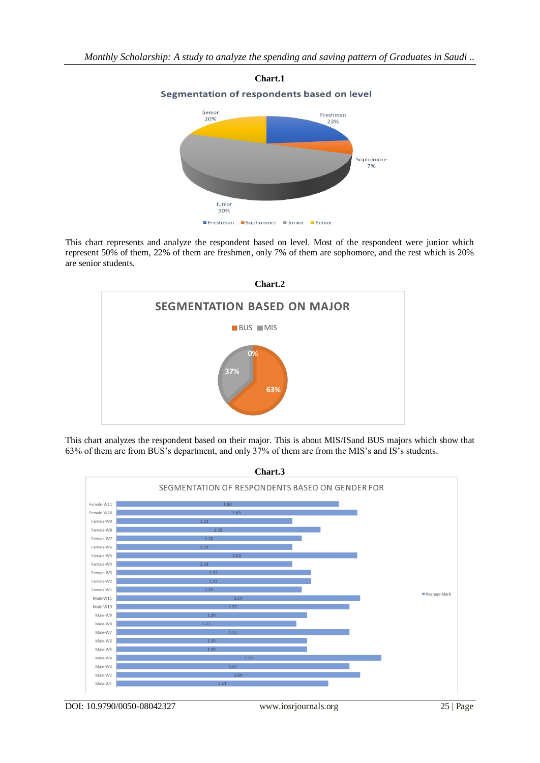

This chart represents and analyze the respondent based on level. Most of the respondent were junior which represent 50% of them, 22% of them are freshmen, only 7% of them are sophomore, and the rest which is 20% are senior students.



This chart analyzes the respondent based on their major. This is about MIS/ISand BUS majors which show that 63% of them are from BUS's department, and only 37% of them are from the MIS's and IS's students.

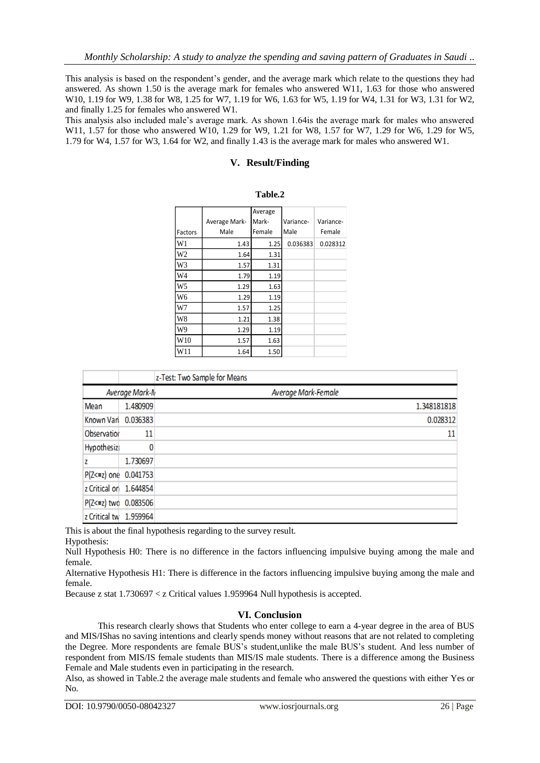This analysis is based on the respondent's gender, and the average mark which relate to the questions they had answered. As shown 1.50 is the average mark for females who answered W11, 1.63 for those who answered W10, 1.19 for W9, 1.38 for W8, 1.25 for W7, 1.19 for W6, 1.63 for W5, 1.19 for W4, 1.31 for W3, 1.31 for W2, and finally 1.25 for females who answered W1.

This analysis also included male's average mark. As shown 1.64is the average mark for males who answered W11, 1.57 for those who answered W10, 1.29 for W9, 1.21 for W8, 1.57 for W7, 1.29 for W6, 1.29 for W5, 1.79 for W4, 1.57 for W3, 1.64 for W2, and finally 1.43 is the average mark for males who answered W1.

## **V. Result/Finding**

|                 |               | Average |           |           |
|-----------------|---------------|---------|-----------|-----------|
|                 | Average Mark- | Mark-   | Variance- | Variance- |
| Factors         | Male          | Female  | Male      | Female    |
| W1              | 1.43          | 1.25    | 0.036383  | 0.028312  |
| W2              | 1.64          | 1.31    |           |           |
| W3              | 1.57          | 1.31    |           |           |
| W4              | 1.79          | 1.19    |           |           |
| W <sub>5</sub>  | 1.29          | 1.63    |           |           |
| W6              | 1.29          | 1.19    |           |           |
| W7              | 1.57          | 1.25    |           |           |
| W8              | 1.21          | 1.38    |           |           |
| W9              | 1.29          | 1.19    |           |           |
| W <sub>10</sub> | 1.57          | 1.63    |           |           |
| W11             | 1.64          | 1.50    |           |           |

|                        |          | z-Test: Two Sample for Means |             |  |  |
|------------------------|----------|------------------------------|-------------|--|--|
| Average Mark-N         |          | Average Mark-Female          |             |  |  |
| Mean                   | 1.480909 |                              | 1.348181818 |  |  |
| Known Van 0.036383     |          |                              | 0.028312    |  |  |
| Observation            | 11       |                              | 11          |  |  |
| <b>Hypothesize</b>     |          |                              |             |  |  |
| z                      | 1.730697 |                              |             |  |  |
| P(Z<=z) one 0.041753   |          |                              |             |  |  |
| z Critical on 1.644854 |          |                              |             |  |  |
| P(Z<=z) two 0.083506   |          |                              |             |  |  |
| z Critical tw 1.959964 |          |                              |             |  |  |

This is about the final hypothesis regarding to the survey result.

Hypothesis:

Null Hypothesis H0: There is no difference in the factors influencing impulsive buying among the male and female.

Alternative Hypothesis H1: There is difference in the factors influencing impulsive buying among the male and female.

Because z stat 1.730697 < z Critical values 1.959964 Null hypothesis is accepted.

## **VI. Conclusion**

This research clearly shows that Students who enter college to earn a 4-year degree in the area of BUS and MIS/IShas no saving intentions and clearly spends money without reasons that are not related to completing the Degree. More respondents are female BUS's student,unlike the male BUS's student. And less number of respondent from MIS/IS female students than MIS/IS male students. There is a difference among the Business Female and Male students even in participating in the research.

Also, as showed in Table.2 the average male students and female who answered the questions with either Yes or No.